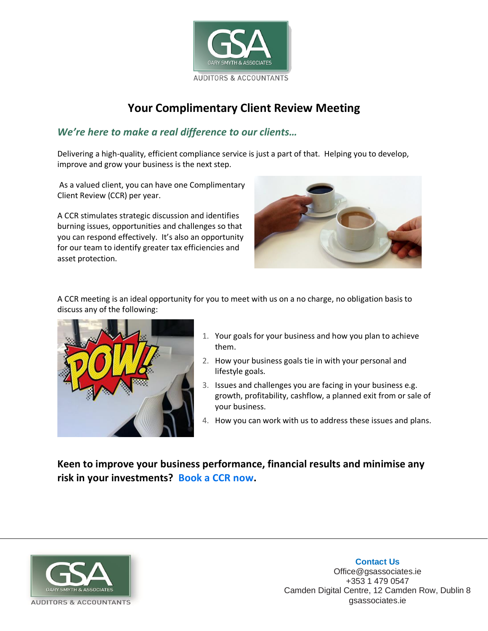

## **Your Complimentary Client Review Meeting**

### *We're here to make a real difference to our clients…*

Delivering a high-quality, efficient compliance service is just a part of that. Helping you to develop, improve and grow your business is the next step.

As a valued client, you can have one Complimentary Client Review (CCR) per year.

A CCR stimulates strategic discussion and identifies burning issues, opportunities and challenges so that you can respond effectively. It's also an opportunity for our team to identify greater tax efficiencies and asset protection.



A CCR meeting is an ideal opportunity for you to meet with us on a no charge, no obligation basis to discuss any of the following:



- 1. Your goals for your business and how you plan to achieve them.
- 2. How your business goals tie in with your personal and lifestyle goals.
- 3. Issues and challenges you are facing in your business e.g. growth, profitability, cashflow, a planned exit from or sale of your business.
- 4. How you can work with us to address these issues and plans.

**Keen to improve your business performance, financial results and minimise any risk in your investments? Book a CCR now.**



**Contact Us** Office@gsassociates.ie +353 1 479 0547 Camden Digital Centre, 12 Camden Row, Dublin 8 gsassociates.ie